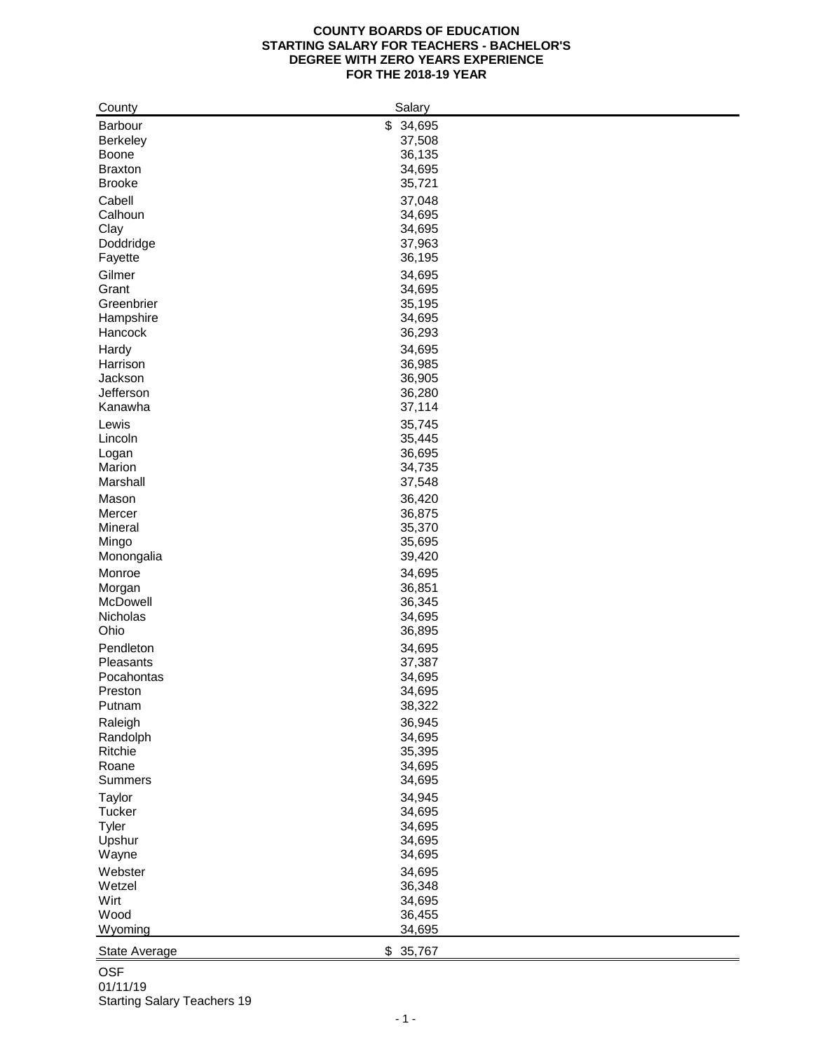## **COUNTY BOARDS OF EDUCATION STARTING SALARY FOR TEACHERS - BACHELOR'S DEGREE WITH ZERO YEARS EXPERIENCE FOR THE 2018-19 YEAR**

| County            | Salary           |
|-------------------|------------------|
| Barbour           | \$34,695         |
| <b>Berkeley</b>   | 37,508           |
| <b>Boone</b>      | 36,135           |
| <b>Braxton</b>    | 34,695           |
| <b>Brooke</b>     | 35,721           |
| Cabell            | 37,048           |
| Calhoun           | 34,695           |
| Clay              | 34,695           |
| Doddridge         | 37,963           |
| Fayette           | 36,195           |
| Gilmer            | 34,695           |
| Grant             | 34,695           |
| Greenbrier        | 35,195           |
| Hampshire         | 34,695           |
| Hancock           | 36,293           |
|                   | 34,695           |
| Hardy<br>Harrison |                  |
| Jackson           | 36,985<br>36,905 |
| Jefferson         | 36,280           |
| Kanawha           | 37,114           |
|                   |                  |
| Lewis             | 35,745           |
| Lincoln           | 35,445           |
| Logan             | 36,695           |
| Marion            | 34,735           |
| Marshall          | 37,548           |
| Mason             | 36,420           |
| Mercer            | 36,875           |
| Mineral           | 35,370           |
| Mingo             | 35,695           |
| Monongalia        | 39,420           |
| Monroe            | 34,695           |
| Morgan            | 36,851           |
| McDowell          | 36,345           |
| Nicholas          | 34,695           |
| Ohio              | 36,895           |
| Pendleton         | 34,695           |
| Pleasants         | 37,387           |
| Pocahontas        | 34,695           |
| Preston           | 34,695           |
| Putnam            | 38,322           |
| Raleigh           | 36,945           |
| Randolph          | 34,695           |
| Ritchie           | 35,395           |
| Roane             | 34,695           |
| <b>Summers</b>    | 34,695           |
| Taylor            | 34,945           |
| <b>Tucker</b>     | 34,695           |
| Tyler             | 34,695           |
| Upshur            | 34,695           |
| Wayne             | 34,695           |
| Webster           | 34,695           |
| Wetzel            | 36,348           |
| Wirt              | 34,695           |
| Wood              | 36,455           |
| Wyoming           | 34,695           |
|                   |                  |
| State Average     | \$35,767         |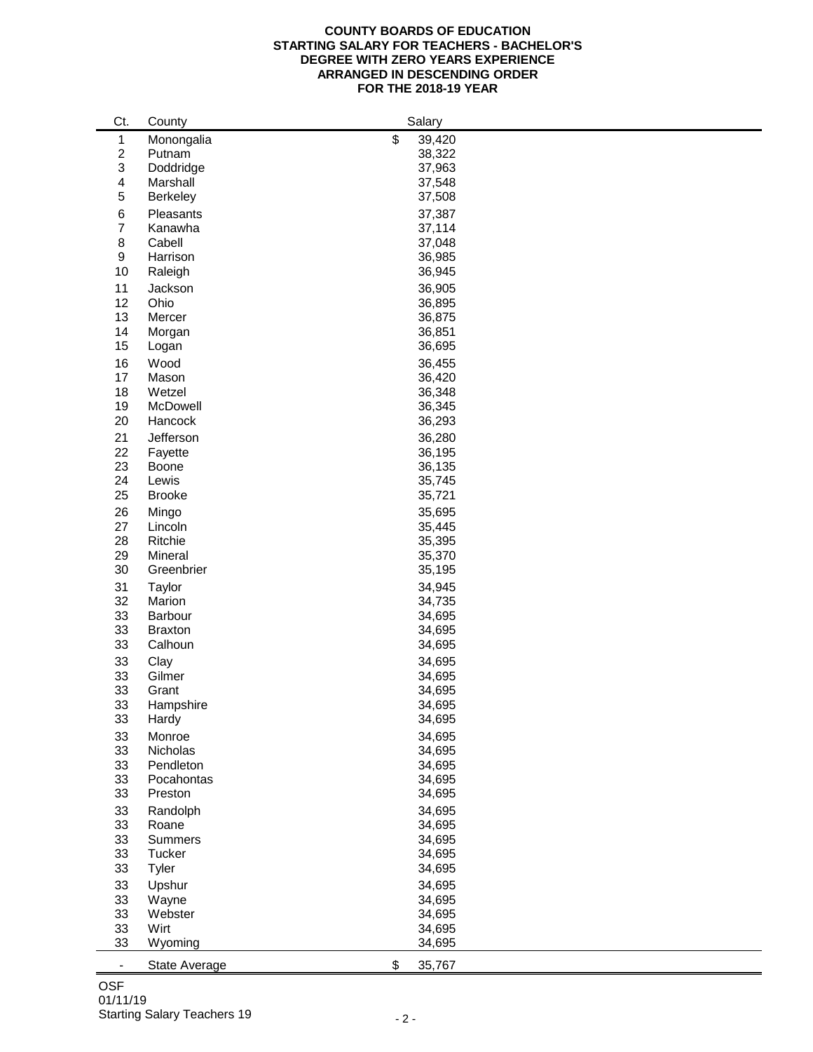## **COUNTY BOARDS OF EDUCATION STARTING SALARY FOR TEACHERS - BACHELOR'S DEGREE WITH ZERO YEARS EXPERIENCE ARRANGED IN DESCENDING ORDER FOR THE 2018-19 YEAR**

| Ct.                          | County         | Salary       |
|------------------------------|----------------|--------------|
| 1                            | Monongalia     | \$<br>39,420 |
| $\overline{c}$               | Putnam         | 38,322       |
| 3                            | Doddridge      | 37,963       |
| 4                            | Marshall       | 37,548       |
| 5                            | Berkeley       | 37,508       |
|                              |                |              |
| 6                            | Pleasants      | 37,387       |
| 7                            | Kanawha        | 37,114       |
| 8                            | Cabell         | 37,048       |
| 9                            | Harrison       | 36,985       |
| 10                           | Raleigh        | 36,945       |
| 11                           | Jackson        | 36,905       |
| 12                           | Ohio           | 36,895       |
| 13                           | Mercer         | 36,875       |
| 14                           | Morgan         | 36,851       |
| 15                           | Logan          | 36,695       |
| 16                           | Wood           | 36,455       |
| 17                           | Mason          | 36,420       |
| 18                           | Wetzel         | 36,348       |
| 19                           | McDowell       | 36,345       |
| 20                           | Hancock        | 36,293       |
| 21                           | Jefferson      | 36,280       |
| 22                           | Fayette        | 36,195       |
| 23                           | Boone          | 36,135       |
| 24                           | Lewis          |              |
| 25                           | <b>Brooke</b>  | 35,745       |
|                              |                | 35,721       |
| 26                           | Mingo          | 35,695       |
| 27                           | Lincoln        | 35,445       |
| 28                           | Ritchie        | 35,395       |
| 29                           | Mineral        | 35,370       |
| 30                           | Greenbrier     | 35,195       |
| 31                           | Taylor         | 34,945       |
| 32                           | Marion         | 34,735       |
| 33                           | Barbour        | 34,695       |
| 33                           | <b>Braxton</b> | 34,695       |
| 33                           | Calhoun        | 34,695       |
| 33                           | Clay           | 34,695       |
| 33                           | Gilmer         | 34,695       |
| 33                           | Grant          | 34,695       |
| 33                           | Hampshire      | 34,695       |
| 33                           | Hardy          | 34,695       |
| 33                           | Monroe         | 34,695       |
| 33                           | Nicholas       | 34,695       |
| 33                           | Pendleton      | 34,695       |
| 33                           | Pocahontas     | 34,695       |
| 33                           | Preston        | 34,695       |
|                              |                |              |
| 33                           | Randolph       | 34,695       |
| 33                           | Roane          | 34,695       |
| 33                           | Summers        | 34,695       |
| 33                           | Tucker         | 34,695       |
| 33                           | Tyler          | 34,695       |
| 33                           | Upshur         | 34,695       |
| 33                           | Wayne          | 34,695       |
| 33                           | Webster        | 34,695       |
| 33                           | Wirt           | 34,695       |
| 33                           | Wyoming        | 34,695       |
| $\qquad \qquad \blacksquare$ | State Average  | \$<br>35,767 |
|                              |                |              |